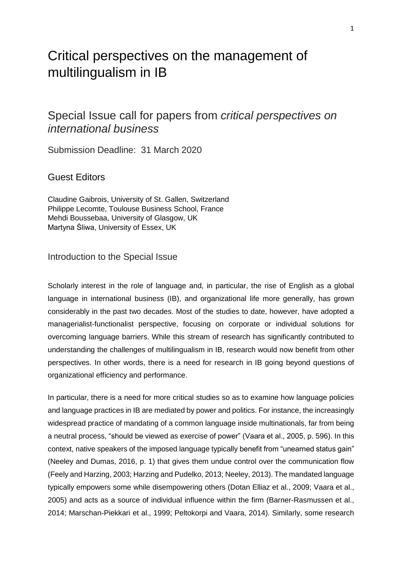# Critical perspectives on the management of multilingualism in IB

# Special Issue call for papers from *critical perspectives on international business*

Submission Deadline: 31 March 2020

# Guest Editors

Claudine Gaibrois, University of St. Gallen, Switzerland Philippe Lecomte, Toulouse Business School, France Mehdi Boussebaa, University of Glasgow, UK Martyna Śliwa, University of Essex, UK

#### Introduction to the Special Issue

Scholarly interest in the role of language and, in particular, the rise of English as a global language in international business (IB), and organizational life more generally, has grown considerably in the past two decades. Most of the studies to date, however, have adopted a managerialist-functionalist perspective, focusing on corporate or individual solutions for overcoming language barriers. While this stream of research has significantly contributed to understanding the challenges of multilingualism in IB, research would now benefit from other perspectives. In other words, there is a need for research in IB going beyond questions of organizational efficiency and performance.

In particular, there is a need for more critical studies so as to examine how language policies and language practices in IB are mediated by power and politics. For instance, the increasingly widespread practice of mandating of a common language inside multinationals, far from being a neutral process, "should be viewed as exercise of power" (Vaara et al., 2005, p. 596). In this context, native speakers of the imposed language typically benefit from "unearned status gain" (Neeley and Dumas, 2016, p. 1) that gives them undue control over the communication flow (Feely and Harzing, 2003; Harzing and Pudelko, 2013; Neeley, 2013). The mandated language typically empowers some while disempowering others (Dotan Elliaz et al., 2009; Vaara et al., 2005) and acts as a source of individual influence within the firm (Barner-Rasmussen et al., 2014; Marschan-Piekkari et al., 1999; Peltokorpi and Vaara, 2014). Similarly, some research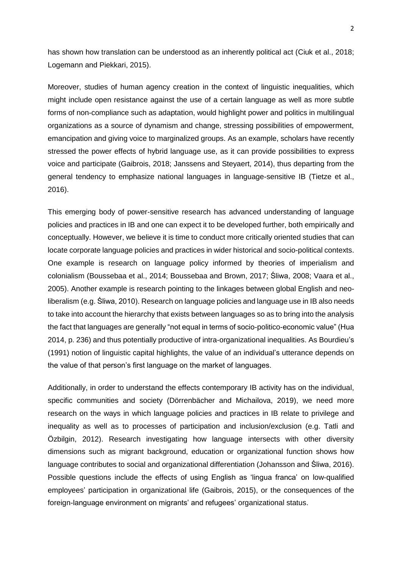has shown how translation can be understood as an inherently political act (Ciuk et al., 2018; Logemann and Piekkari, 2015).

Moreover, studies of human agency creation in the context of linguistic inequalities, which might include open resistance against the use of a certain language as well as more subtle forms of non-compliance such as adaptation, would highlight power and politics in multilingual organizations as a source of dynamism and change, stressing possibilities of empowerment, emancipation and giving voice to marginalized groups. As an example, scholars have recently stressed the power effects of hybrid language use, as it can provide possibilities to express voice and participate (Gaibrois, 2018; Janssens and Steyaert, 2014), thus departing from the general tendency to emphasize national languages in language-sensitive IB (Tietze et al., 2016).

This emerging body of power-sensitive research has advanced understanding of language policies and practices in IB and one can expect it to be developed further, both empirically and conceptually. However, we believe it is time to conduct more critically oriented studies that can locate corporate language policies and practices in wider historical and socio-political contexts. One example is research on language policy informed by theories of imperialism and colonialism (Boussebaa et al., 2014; Boussebaa and Brown, 2017; Śliwa, 2008; Vaara et al., 2005). Another example is research pointing to the linkages between global English and neoliberalism (e.g. Śliwa, 2010). Research on language policies and language use in IB also needs to take into account the hierarchy that exists between languages so as to bring into the analysis the fact that languages are generally "not equal in terms of socio-politico-economic value" (Hua 2014, p. 236) and thus potentially productive of intra-organizational inequalities. As Bourdieu's (1991) notion of linguistic capital highlights, the value of an individual's utterance depends on the value of that person's first language on the market of languages.

Additionally, in order to understand the effects contemporary IB activity has on the individual, specific communities and society (Dörrenbächer and Michailova, 2019), we need more research on the ways in which language policies and practices in IB relate to privilege and inequality as well as to processes of participation and inclusion/exclusion (e.g. Tatli and Özbilgin, 2012). Research investigating how language intersects with other diversity dimensions such as migrant background, education or organizational function shows how language contributes to social and organizational differentiation (Johansson and Śliwa, 2016). Possible questions include the effects of using English as 'lingua franca' on low-qualified employees' participation in organizational life (Gaibrois, 2015), or the consequences of the foreign-language environment on migrants' and refugees' organizational status.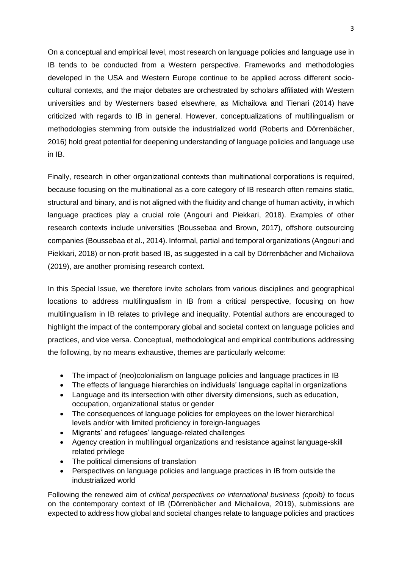On a conceptual and empirical level, most research on language policies and language use in IB tends to be conducted from a Western perspective. Frameworks and methodologies developed in the USA and Western Europe continue to be applied across different sociocultural contexts, and the major debates are orchestrated by scholars affiliated with Western universities and by Westerners based elsewhere, as Michailova and Tienari (2014) have criticized with regards to IB in general. However, conceptualizations of multilingualism or methodologies stemming from outside the industrialized world (Roberts and Dörrenbächer, 2016) hold great potential for deepening understanding of language policies and language use in IB.

Finally, research in other organizational contexts than multinational corporations is required, because focusing on the multinational as a core category of IB research often remains static, structural and binary, and is not aligned with the fluidity and change of human activity, in which language practices play a crucial role (Angouri and Piekkari, 2018). Examples of other research contexts include universities (Boussebaa and Brown, 2017), offshore outsourcing companies (Boussebaa et al., 2014). Informal, partial and temporal organizations (Angouri and Piekkari, 2018) or non-profit based IB, as suggested in a call by Dörrenbächer and Michailova (2019), are another promising research context.

In this Special Issue, we therefore invite scholars from various disciplines and geographical locations to address multilingualism in IB from a critical perspective, focusing on how multilingualism in IB relates to privilege and inequality. Potential authors are encouraged to highlight the impact of the contemporary global and societal context on language policies and practices, and vice versa. Conceptual, methodological and empirical contributions addressing the following, by no means exhaustive, themes are particularly welcome:

- The impact of (neo)colonialism on language policies and language practices in IB
- The effects of language hierarchies on individuals' language capital in organizations
- Language and its intersection with other diversity dimensions, such as education, occupation, organizational status or gender
- The consequences of language policies for employees on the lower hierarchical levels and/or with limited proficiency in foreign-languages
- Migrants' and refugees' language-related challenges
- Agency creation in multilingual organizations and resistance against language-skill related privilege
- The political dimensions of translation
- Perspectives on language policies and language practices in IB from outside the industrialized world

Following the renewed aim of *critical perspectives on international business (cpoib)* to focus on the contemporary context of IB (Dörrenbächer and Michailova, 2019), submissions are expected to address how global and societal changes relate to language policies and practices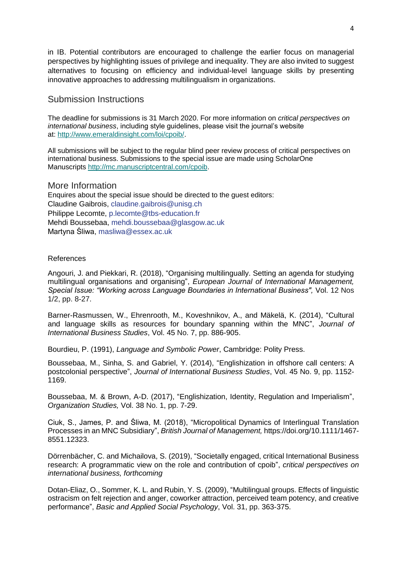in IB. Potential contributors are encouraged to challenge the earlier focus on managerial perspectives by highlighting issues of privilege and inequality. They are also invited to suggest alternatives to focusing on efficiency and individual-level language skills by presenting innovative approaches to addressing multilingualism in organizations.

## Submission Instructions

The deadline for submissions is 31 March 2020. For more information on *critical perspectives on international business*, including style guidelines, please visit the journal's website at: [http://www.emeraldinsight.com/loi/cpoib/.](http://www.emeraldinsight.com/loi/cpoib/)

All submissions will be subject to the regular blind peer review process of critical perspectives on international business. Submissions to the special issue are made using ScholarOne Manuscripts [http://mc.manuscriptcentral.com/cpoib.](http://mc.manuscriptcentral.com/cpoib)

#### More Information

Enquires about the special issue should be directed to the guest editors: Claudine Gaibrois, [claudine.gaibrois@unisg.ch](mailto:claudine.gaibrois@unisg.ch) Philippe Lecomte, [p.lecomte@tbs-education.fr](mailto:p.lecomte@tbs-education.fr) Mehdi Boussebaa, [mehdi.boussebaa@glasgow.ac.uk](mailto:mehdi.boussebaa@glasgow.ac.uk) Martyna Śliwa, [masliwa@essex.ac.uk](mailto:masliwa@essex.ac.uk)

#### References

Angouri, J. and Piekkari, R. (2018), "Organising multilingually. Setting an agenda for studying multilingual organisations and organising", *European Journal of International Management, Special Issue: "Working across Language Boundaries in International Business",* Vol. 12 Nos 1/2, pp. 8-27.

Barner-Rasmussen, W., Ehrenrooth, M., Koveshnikov, A., and Mäkelä, K. (2014), "Cultural and language skills as resources for boundary spanning within the MNC", *Journal of International Business Studies*, Vol. 45 No. 7, pp. 886-905.

Bourdieu, P. (1991), *Language and Symbolic Power*, Cambridge: Polity Press.

Boussebaa, M., Sinha, S. and Gabriel, Y. (2014), "Englishization in offshore call centers: A postcolonial perspective", *Journal of International Business Studies*, Vol. 45 No. 9, pp. 1152- 1169.

Boussebaa, M. & Brown, A-D. (2017), "Englishization, Identity, Regulation and Imperialism", *Organization Studies,* Vol. 38 No. 1, pp. 7-29.

Ciuk, S., James, P. and Śliwa, M. (2018), "Micropolitical Dynamics of Interlingual Translation Processes in an MNC Subsidiary", *British Journal of Management,* [https://doi.org/10.1111/1467-](https://doi.org/10.1111/1467-8551.12323) [8551.12323.](https://doi.org/10.1111/1467-8551.12323)

Dörrenbächer, C. and Michailova, S. (2019), "Societally engaged, critical International Business research: A programmatic view on the role and contribution of cpoib", *critical perspectives on international business, forthcoming*

Dotan-Eliaz, O., Sommer, K. L. and Rubin, Y. S. (2009), "Multilingual groups. Effects of linguistic ostracism on felt rejection and anger, coworker attraction, perceived team potency, and creative performance", *Basic and Applied Social Psychology*, Vol. 31, pp. 363-375.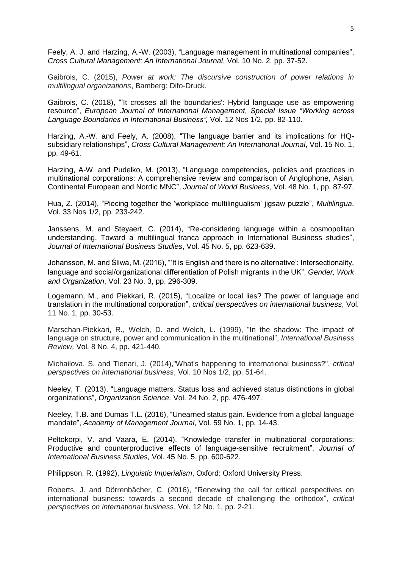Feely, A. J. and Harzing, A.-W. (2003), "Language management in multinational companies", *Cross Cultural Management: An International Journal*, Vol. 10 No. 2, pp. 37-52.

Gaibrois, C. (2015), *Power at work: The discursive construction of power relations in multilingual organizations*, Bamberg: Difo-Druck.

Gaibrois, C. (2018), ["'It crosses all the boundaries': Hybrid language use as empowering](http://www.inderscience.com/filter.php?aid=89045)  [resource"](http://www.inderscience.com/filter.php?aid=89045), *[European Journal of International Management,](https://www.inderscience.com/jhome.php?jcode=ejim) Special Issue "Working across Language Boundaries in International Business",* Vol. 12 [Nos](https://www.inderscience.com/info/inarticletoc.php?jcode=ejim&year=2018&vol=12&issue=1/2) 1/2, pp. 82-110.

Harzing, A.-W. and Feely, A. (2008), "The language barrier and its implications for HQsubsidiary relationships", *Cross Cultural Management: An International Journal*, Vol. 15 No. 1, pp. 49-61.

Harzing, A-W. and Pudelko, M. (2013), "Language competencies, policies and practices in multinational corporations: A comprehensive review and comparison of Anglophone, Asian, Continental European and Nordic MNC", *Journal of World Business,* Vol. 48 No. 1, pp. 87-97.

Hua, Z. (2014), "Piecing together the 'workplace multilingualism' jigsaw puzzle", *Multilingua*, Vol. 33 Nos 1/2, pp. 233-242.

Janssens, M. and Steyaert, C. (2014), "Re-considering language within a cosmopolitan understanding. Toward a multilingual franca approach in International Business studies", *Journal of International Business Studies*, Vol. 45 No. 5, pp. 623-639.

Johansson, M. and Śliwa, M. (2016), "'It is English and there is no alternative': Intersectionality, language and social/organizational differentiation of Polish migrants in the UK", *Gender, Work and Organization*, Vol. 23 No. 3, pp. 296-309.

Logemann, M., and Piekkari, R. (2015), "Localize or local lies? The power of language and translation in the multinational corporation", *critical perspectives on international business*, Vol. 11 No. 1, pp. 30-53.

Marschan-Piekkari, R., Welch, D. and Welch, L. (1999), "In the shadow: The impact of language on structure, power and communication in the multinational", *International Business Review,* Vol. 8 No. 4, pp. 421-440.

Michailova, S. and Tienari, J. (2014),"What's happening to international business?", *critical perspectives on international business*, Vol. 10 Nos 1/2, pp. 51-64.

Neeley, T. (2013), "Language matters. Status loss and achieved status distinctions in global organizations", *Organization Science,* Vol. 24 No. 2, pp. 476-497.

Neeley, T.B. and Dumas T.L. (2016), "Unearned status gain. Evidence from a global language mandate", *Academy of Management Journal*, Vol. 59 No. 1, pp. 14-43.

Peltokorpi, V. and Vaara, E. (2014), "Knowledge transfer in multinational corporations: Productive and counterproductive effects of language-sensitive recruitment", *Journal of International Business Studies,* Vol. 45 No. 5, pp. 600-622.

Philippson, R. (1992), *Linguistic Imperialism*, Oxford: Oxford University Press.

Roberts, J. and Dörrenbächer, C. (2016), "Renewing the call for critical perspectives on international business: towards a second decade of challenging the orthodox", *critical perspectives on international business*, Vol. 12 No. 1, pp. 2-21.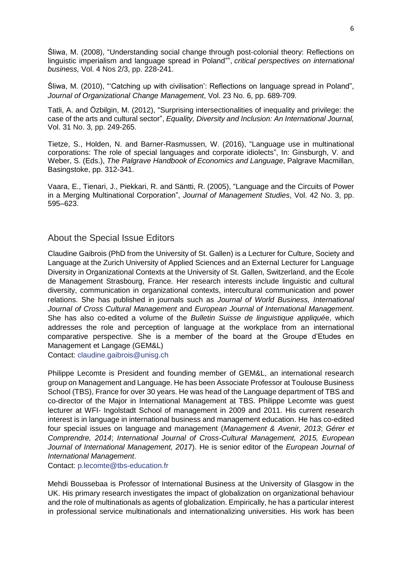[Śliwa,](https://www.emeraldinsight.com/author/%C5%9Aliwa%2C+Martyna) M. (2008), "Understanding social change through post‐colonial theory: Reflections on linguistic imperialism and language spread in Poland"", *critical perspectives on international business,* Vol. 4 Nos 2/3, pp. 228-241.

Śliwa, M. (2010), "'Catching up with civilisation': Reflections on language spread in Poland", *Journal of Organizational Change Management*, Vol. 23 No. 6, pp. 689-709.

[Tatli,](https://www.emeraldinsight.com/author/Tatli%2C+Ahu) A. and [Özbilgin,](https://www.emeraldinsight.com/author/%C3%96zbilgin%2C+Mustafa) M. (2012), "Surprising intersectionalities of inequality and privilege: the case of the arts and cultural sector", *Equality, Diversity and Inclusion: An International Journal,* Vol. 31 No. 3, pp. 249-265.

Tietze, S., Holden, N. and Barner-Rasmussen, W. (2016), "Language use in multinational corporations: The role of special languages and corporate idiolects", In: Ginsburgh, V. and Weber, S. (Eds.), *The Palgrave Handbook of Economics and Language*, Palgrave Macmillan, Basingstoke, pp. 312-341.

Vaara, E., Tienari, J., Piekkari, R. and Säntti, R. (2005), "Language and the Circuits of Power in a Merging Multinational Corporation", *Journal of Management Studies*, Vol. 42 No. 3, pp. 595–623.

### About the Special Issue Editors

Claudine Gaibrois (PhD from the University of St. Gallen) is a Lecturer for Culture, Society and Language at the Zurich University of Applied Sciences and an External Lecturer for Language Diversity in Organizational Contexts at the University of St. Gallen, Switzerland, and the Ecole de Management Strasbourg, France. Her research interests include linguistic and cultural diversity, communication in organizational contexts, intercultural communication and power relations. She has published in journals such as *Journal of World Business, International Journal of Cross Cultural Management* and *European Journal of International Management.* She has also co-edited a volume of the *Bulletin Suisse de linguistique appliqué*e, which addresses the role and perception of language at the workplace from an international comparative perspective. She is a member of the board at the Groupe d'Etudes en Management et Langage (GEM&L)

Contact: [claudine.gaibrois@unisg.ch](mailto:claudine.gaibrois@unisg.ch)

Philippe Lecomte is President and founding member of GEM&L, an international research group on Management and Language. He has been Associate Professor at Toulouse Business School (TBS), France for over 30 years. He was head of the Language department of TBS and co-director of the Major in International Management at TBS. Philippe Lecomte was guest lecturer at WFI- Ingolstadt School of management in 2009 and 2011. His current research interest is in language in international business and management education. He has co-edited four special issues on language and management (*Management & Avenir, 2013*; *Gérer et Comprendre, 2014*; *International Journal of Cross-Cultural Management, 2015, European Journal of International Management, 201*7). He is senior editor of the *European Journal of International Management*.

Contact: [p.lecomte@tbs-education.fr](mailto:p.lecomte@tbs-education.fr)

Mehdi Boussebaa is Professor of International Business at the University of Glasgow in the UK. His primary research investigates the impact of globalization on organizational behaviour and the role of multinationals as agents of globalization. Empirically, he has a particular interest in professional service multinationals and internationalizing universities. His work has been